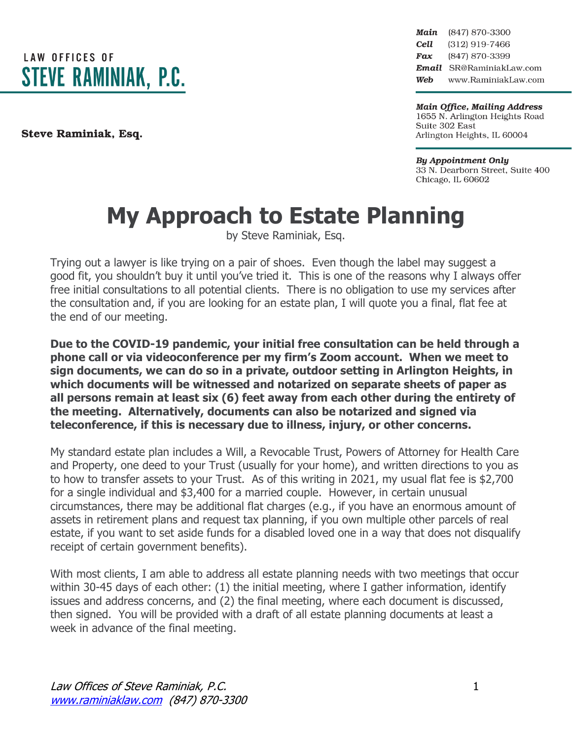**LAW OFFICES OF STEVE RAMINIAK, P.C.** 

Steve Raminiak, Esq.

Main (847) 870-3300 Cell (312) 919-7466 (847) 870-3399 Fax Email SR@RaminiakLaw.com Web www.RaminiakLaw.com

**Main Office, Mailing Address** 1655 N. Arlington Heights Road Suite 302 East Arlington Heights, IL 60004

**By Appointment Only** 33 N. Dearborn Street, Suite 400 Chicago, IL 60602

## **My Approach to Estate Planning**

by Steve Raminiak, Esq.

Trying out a lawyer is like trying on a pair of shoes. Even though the label may suggest a good fit, you shouldn't buy it until you've tried it. This is one of the reasons why I always offer free initial consultations to all potential clients. There is no obligation to use my services after the consultation and, if you are looking for an estate plan, I will quote you a final, flat fee at the end of our meeting.

**Due to the COVID-19 pandemic, your initial free consultation can be held through a phone call or via videoconference per my firm's Zoom account. When we meet to sign documents, we can do so in a private, outdoor setting in Arlington Heights, in which documents will be witnessed and notarized on separate sheets of paper as all persons remain at least six (6) feet away from each other during the entirety of the meeting. Alternatively, documents can also be notarized and signed via teleconference, if this is necessary due to illness, injury, or other concerns.**

My standard estate plan includes a Will, a Revocable Trust, Powers of Attorney for Health Care and Property, one deed to your Trust (usually for your home), and written directions to you as to how to transfer assets to your Trust. As of this writing in 2021, my usual flat fee is \$2,700 for a single individual and \$3,400 for a married couple. However, in certain unusual circumstances, there may be additional flat charges (e.g., if you have an enormous amount of assets in retirement plans and request tax planning, if you own multiple other parcels of real estate, if you want to set aside funds for a disabled loved one in a way that does not disqualify receipt of certain government benefits).

With most clients, I am able to address all estate planning needs with two meetings that occur within 30-45 days of each other: (1) the initial meeting, where I gather information, identify issues and address concerns, and (2) the final meeting, where each document is discussed, then signed. You will be provided with a draft of all estate planning documents at least a week in advance of the final meeting.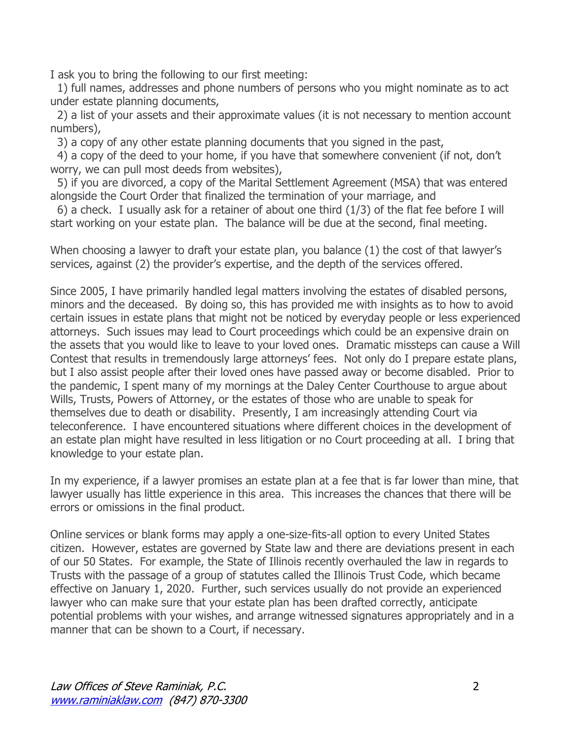I ask you to bring the following to our first meeting:

1) full names, addresses and phone numbers of persons who you might nominate as to act under estate planning documents,

2) a list of your assets and their approximate values (it is not necessary to mention account numbers),

3) a copy of any other estate planning documents that you signed in the past,

4) a copy of the deed to your home, if you have that somewhere convenient (if not, don't worry, we can pull most deeds from websites),

5) if you are divorced, a copy of the Marital Settlement Agreement (MSA) that was entered alongside the Court Order that finalized the termination of your marriage, and

6) a check. I usually ask for a retainer of about one third (1/3) of the flat fee before I will start working on your estate plan. The balance will be due at the second, final meeting.

When choosing a lawyer to draft your estate plan, you balance (1) the cost of that lawyer's services, against (2) the provider's expertise, and the depth of the services offered.

Since 2005, I have primarily handled legal matters involving the estates of disabled persons, minors and the deceased. By doing so, this has provided me with insights as to how to avoid certain issues in estate plans that might not be noticed by everyday people or less experienced attorneys. Such issues may lead to Court proceedings which could be an expensive drain on the assets that you would like to leave to your loved ones. Dramatic missteps can cause a Will Contest that results in tremendously large attorneys' fees. Not only do I prepare estate plans, but I also assist people after their loved ones have passed away or become disabled. Prior to the pandemic, I spent many of my mornings at the Daley Center Courthouse to argue about Wills, Trusts, Powers of Attorney, or the estates of those who are unable to speak for themselves due to death or disability. Presently, I am increasingly attending Court via teleconference. I have encountered situations where different choices in the development of an estate plan might have resulted in less litigation or no Court proceeding at all. I bring that knowledge to your estate plan.

In my experience, if a lawyer promises an estate plan at a fee that is far lower than mine, that lawyer usually has little experience in this area. This increases the chances that there will be errors or omissions in the final product.

Online services or blank forms may apply a one-size-fits-all option to every United States citizen. However, estates are governed by State law and there are deviations present in each of our 50 States. For example, the State of Illinois recently overhauled the law in regards to Trusts with the passage of a group of statutes called the Illinois Trust Code, which became effective on January 1, 2020. Further, such services usually do not provide an experienced lawyer who can make sure that your estate plan has been drafted correctly, anticipate potential problems with your wishes, and arrange witnessed signatures appropriately and in a manner that can be shown to a Court, if necessary.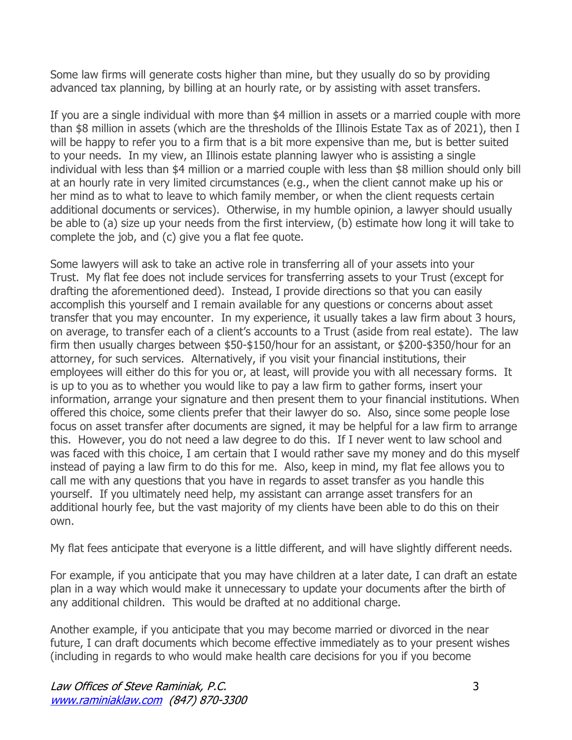Some law firms will generate costs higher than mine, but they usually do so by providing advanced tax planning, by billing at an hourly rate, or by assisting with asset transfers.

If you are a single individual with more than \$4 million in assets or a married couple with more than \$8 million in assets (which are the thresholds of the Illinois Estate Tax as of 2021), then I will be happy to refer you to a firm that is a bit more expensive than me, but is better suited to your needs. In my view, an Illinois estate planning lawyer who is assisting a single individual with less than \$4 million or a married couple with less than \$8 million should only bill at an hourly rate in very limited circumstances (e.g., when the client cannot make up his or her mind as to what to leave to which family member, or when the client requests certain additional documents or services). Otherwise, in my humble opinion, a lawyer should usually be able to (a) size up your needs from the first interview, (b) estimate how long it will take to complete the job, and (c) give you a flat fee quote.

Some lawyers will ask to take an active role in transferring all of your assets into your Trust. My flat fee does not include services for transferring assets to your Trust (except for drafting the aforementioned deed). Instead, I provide directions so that you can easily accomplish this yourself and I remain available for any questions or concerns about asset transfer that you may encounter. In my experience, it usually takes a law firm about 3 hours, on average, to transfer each of a client's accounts to a Trust (aside from real estate). The law firm then usually charges between \$50-\$150/hour for an assistant, or \$200-\$350/hour for an attorney, for such services. Alternatively, if you visit your financial institutions, their employees will either do this for you or, at least, will provide you with all necessary forms. It is up to you as to whether you would like to pay a law firm to gather forms, insert your information, arrange your signature and then present them to your financial institutions. When offered this choice, some clients prefer that their lawyer do so. Also, since some people lose focus on asset transfer after documents are signed, it may be helpful for a law firm to arrange this. However, you do not need a law degree to do this. If I never went to law school and was faced with this choice, I am certain that I would rather save my money and do this myself instead of paying a law firm to do this for me. Also, keep in mind, my flat fee allows you to call me with any questions that you have in regards to asset transfer as you handle this yourself. If you ultimately need help, my assistant can arrange asset transfers for an additional hourly fee, but the vast majority of my clients have been able to do this on their own.

My flat fees anticipate that everyone is a little different, and will have slightly different needs.

For example, if you anticipate that you may have children at a later date, I can draft an estate plan in a way which would make it unnecessary to update your documents after the birth of any additional children. This would be drafted at no additional charge.

Another example, if you anticipate that you may become married or divorced in the near future, I can draft documents which become effective immediately as to your present wishes (including in regards to who would make health care decisions for you if you become